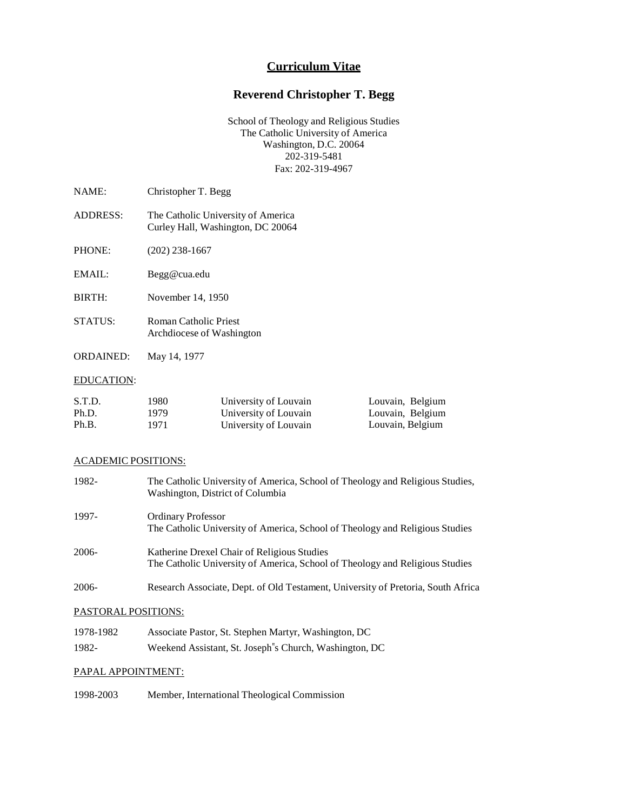## **Curriculum Vitae**

# **Reverend Christopher T. Begg**

School of Theology and Religious Studies The Catholic University of America Washington, D.C. 20064 202-319-5481 Fax: 202-319-4967

| NAME:    | Christopher T. Begg                                                     |
|----------|-------------------------------------------------------------------------|
| ADDRESS: | The Catholic University of America<br>Curley Hall, Washington, DC 20064 |

PHONE: (202) 238-1667

EMAIL: [Begg@cua.edu](mailto:Begg@cua.edu)

BIRTH: November 14, 1950

- STATUS: Roman Catholic Priest Archdiocese of Washington
- ORDAINED: May 14, 1977

### EDUCATION:

| S.T.D. | 1980- | University of Louvain | Louvain, Belgium |
|--------|-------|-----------------------|------------------|
| Ph.D.  | 1979  | University of Louvain | Louvain, Belgium |
| Ph.B.  | 1971  | University of Louvain | Louvain, Belgium |

## ACADEMIC POSITIONS:

| 1982- | The Catholic University of America, School of Theology and Religious Studies,<br>Washington, District of Columbia           |
|-------|-----------------------------------------------------------------------------------------------------------------------------|
| 1997- | <b>Ordinary Professor</b><br>The Catholic University of America, School of Theology and Religious Studies                   |
| 2006- | Katherine Drexel Chair of Religious Studies<br>The Catholic University of America, School of Theology and Religious Studies |
| 2006- | Research Associate, Dept. of Old Testament, University of Pretoria, South Africa                                            |
|       | PASTORAL POSITIONS:                                                                                                         |

| 1978-1982 | Associate Pastor, St. Stephen Martyr, Washington, DC    |
|-----------|---------------------------------------------------------|
| 1982-     | Weekend Assistant, St. Joseph''s Church, Washington, DC |

## PAPAL APPOINTMENT:

1998-2003 Member, International Theological Commission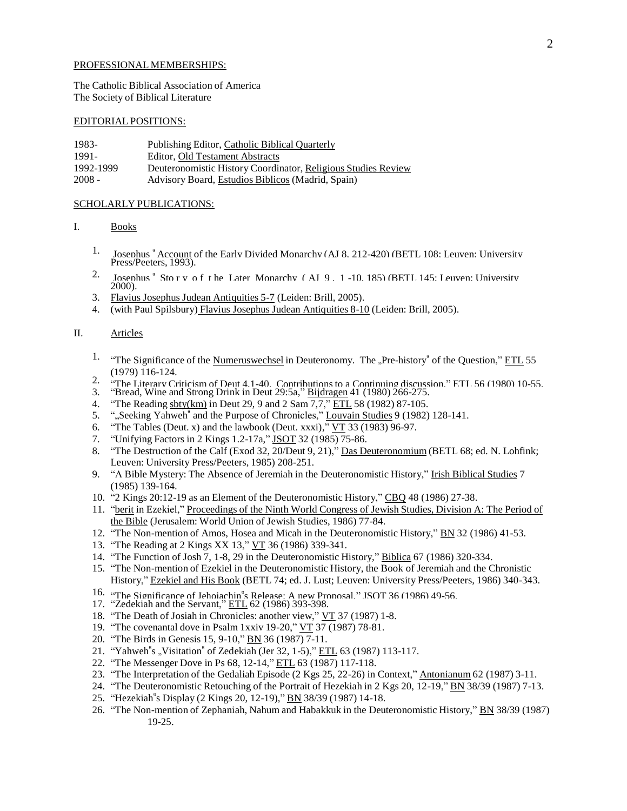#### PROFESSIONAL MEMBERSHIPS:

The Catholic Biblical Association of America The Society of Biblical Literature

#### EDITORIAL POSITIONS:

| 1983-     | Publishing Editor, Catholic Biblical Quarterly                |
|-----------|---------------------------------------------------------------|
| 1991-     | Editor, Old Testament Abstracts                               |
| 1992-1999 | Deuteronomistic History Coordinator, Religious Studies Review |
| $2008 -$  | Advisory Board, Estudios Biblicos (Madrid, Spain)             |

#### SCHOLARLY PUBLICATIONS:

- I. Books
	- 1. Josephus " Account of the Early Divided Monarchy (AJ 8, 212-420) (BETL 108; Leuven: University Press/Peeters, 1993).
	- 2. Josephus " Sto r y o f t he Later Monarchy ( AJ 9 , 1 -10, 185) (BETL 145; Leuven: University  $2000$ ).
	- 3. Flavius Josephus Judean Antiquities 5-7 (Leiden: Brill, 2005).
	- 4. (with Paul Spilsbury) Flavius Josephus Judean Antiquities 8-10 (Leiden: Brill, 2005).

## II. Articles

- <sup>1.</sup> "The Significance of the Numeruswechsel in Deuteronomy. The "Pre-history" of the Question," ETL 55 (1979) 116-124.
- 2. "The Literary Criticism of Deut 4.1-40. Contributions to a Continuing discussion." ETL 56 (1980) 10-55.<br>3. "Bread, Wine and Strong Drink in Deut 29:5a," Bijdragen 41 (1980) 266-275.
- 
- 4. "The Reading sbty(km) in Deut 29, 9 and 2 Sam 7,7," ETL 58 (1982) 87-105.
- 5. ""Seeking Yahweh" and the Purpose of Chronicles," Louvain Studies 9 (1982) 128-141.
- 6. "The Tables (Deut. x) and the lawbook (Deut. xxxi),"  $VT$  33 (1983) 96-97.
- 7. "Unifying Factors in 2 Kings 1.2-17a," JSOT 32 (1985) 75-86.
- 8. "The Destruction of the Calf (Exod 32, 20/Deut 9, 21)," Das Deuteronomium (BETL 68; ed. N. Lohfink; Leuven: University Press/Peeters, 1985) 208-251.
- 9. "A Bible Mystery: The Absence of Jeremiah in the Deuteronomistic History," Irish Biblical Studies 7 (1985) 139-164.
- 10. "2 Kings 20:12-19 as an Element of the Deuteronomistic History," CBQ 48 (1986) 27-38.
- 11. "berit in Ezekiel," Proceedings of the Ninth World Congress of Jewish Studies, Division A: The Period of the Bible (Jerusalem: World Union of Jewish Studies, 1986) 77-84.
- 12. "The Non-mention of Amos, Hosea and Micah in the Deuteronomistic History," BN 32 (1986) 41-53.
- 13. "The Reading at 2 Kings XX 13," VT 36 (1986) 339-341.
- 14. "The Function of Josh 7, 1-8, 29 in the Deuteronomistic History," Biblica 67 (1986) 320-334.
- 15. "The Non-mention of Ezekiel in the Deuteronomistic History, the Book of Jeremiah and the Chronistic History," Ezekiel and His Book (BETL 74; ed. J. Lust; Leuven: University Press/Peeters, 1986) 340-343.
- 16. The Significance of Jehoiachin"s Release: A new Proposal." ISOT 36 (1986) 49-56.<br>17. "Zedekiah and the Servant," ETL 62 (1986) 393-398.
- 
- 18. "The Death of Josiah in Chronicles: another view," VT 37 (1987) 1-8.
- 19. "The covenantal dove in Psalm 1xxiv 19-20," VT 37 (1987) 78-81.
- 20. "The Birds in Genesis 15, 9-10," BN 36 (1987) 7-11.
- 21. "Yahweh"s "Visitation" of Zedekiah (Jer 32, 1-5)," ETL 63 (1987) 113-117.
- 22. "The Messenger Dove in Ps 68, 12-14," ETL 63 (1987) 117-118.
- 23. "The Interpretation of the Gedaliah Episode (2 Kgs 25, 22-26) in Context," Antonianum 62 (1987) 3-11.
- 24. "The Deuteronomistic Retouching of the Portrait of Hezekiah in 2 Kgs 20, 12-19," BN 38/39 (1987) 7-13.
- 25. "Hezekiah"s Display (2 Kings 20, 12-19)," **BN** 38/39 (1987) 14-18.
- 26. "The Non-mention of Zephaniah, Nahum and Habakkuk in the Deuteronomistic History," BN 38/39 (1987) 19-25.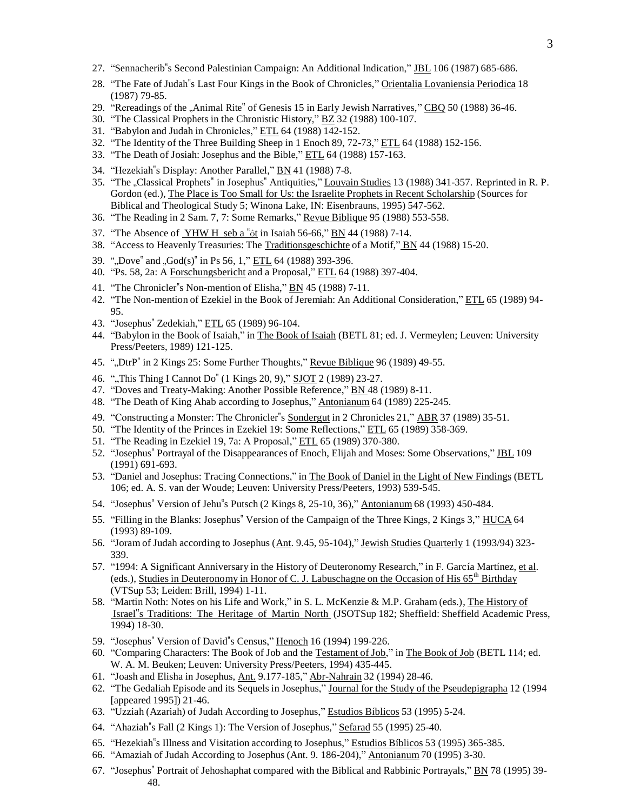- 27. "Sennacherib"s Second Palestinian Campaign: An Additional Indication," JBL 106 (1987) 685-686.
- 28. "The Fate of Judah"s Last Four Kings in the Book of Chronicles," Orientalia Lovaniensia Periodica 18 (1987) 79-85.
- 29. "Rereadings of the "Animal Rite" of Genesis 15 in Early Jewish Narratives," CBQ 50 (1988) 36-46.
- 30. "The Classical Prophets in the Chronistic History," BZ 32 (1988) 100-107.
- 31. "Babylon and Judah in Chronicles," ETL 64 (1988) 142-152.
- 32. "The Identity of the Three Building Sheep in 1 Enoch 89, 72-73," ETL 64 (1988) 152-156.
- 33. "The Death of Josiah: Josephus and the Bible," ETL 64 (1988) 157-163.
- 34. "Hezekiah"s Display: Another Parallel," BN 41 (1988) 7-8.
- 35. "The "Classical Prophets" in Josephus" Antiquities," Louvain Studies 13 (1988) 341-357. Reprinted in R. P. Gordon (ed.), The Place is Too Small for Us: the Israelite Prophets in Recent Scholarship (Sources for Biblical and Theological Study 5; Winona Lake, IN: Eisenbrauns, 1995) 547-562.
- 36. "The Reading in 2 Sam. 7, 7: Some Remarks," Revue Biblique 95 (1988) 553-558.
- 37. "The Absence of YHW H seb a "ôt in Isaiah 56-66," BN 44 (1988) 7-14.
- 38. "Access to Heavenly Treasuries: The Traditionsgeschichte of a Motif," BN 44 (1988) 15-20.
- 39. ""Dove" and "God(s)" in Ps 56, 1," ETL 64 (1988) 393-396.
- 40. "Ps. 58, 2a: A Forschungsbericht and a Proposal," ETL 64 (1988) 397-404.
- 41. "The Chronicler"s Non-mention of Elisha," BN 45 (1988) 7-11.
- 42. "The Non-mention of Ezekiel in the Book of Jeremiah: An Additional Consideration," ETL 65 (1989) 94-95.
- 43. "Josephus" Zedekiah," ETL 65 (1989) 96-104.
- 44. "Babylon in the Book of Isaiah," in The Book of Isaiah (BETL 81; ed. J. Vermeylen; Leuven: University Press/Peeters, 1989) 121-125.
- 45. ""DtrP" in 2 Kings 25: Some Further Thoughts," Revue Biblique 96 (1989) 49-55.
- 46. ",This Thing I Cannot Do" (1 Kings 20, 9)," SJOT 2 (1989) 23-27.
- 47. "Doves and Treaty-Making: Another Possible Reference," BN 48 (1989) 8-11.
- 48. "The Death of King Ahab according to Josephus," Antonianum 64 (1989) 225-245.
- 49. "Constructing a Monster: The Chronicler"s Sondergut in 2 Chronicles 21," ABR 37 (1989) 35-51.
- 50. "The Identity of the Princes in Ezekiel 19: Some Reflections," ETL 65 (1989) 358-369.
- 51. "The Reading in Ezekiel 19, 7a: A Proposal," ETL 65 (1989) 370-380.
- 52. "Josephus" Portrayal of the Disappearances of Enoch, Elijah and Moses: Some Observations," JBL 109 (1991) 691-693.
- 53. "Daniel and Josephus: Tracing Connections," in The Book of Daniel in the Light of New Findings (BETL 106; ed. A. S. van der Woude; Leuven: University Press/Peeters, 1993) 539-545.
- 54. "Josephus" Version of Jehu"s Putsch (2 Kings 8, 25-10, 36)," Antonianum 68 (1993) 450-484.
- 55. "Filling in the Blanks: Josephus" Version of the Campaign of the Three Kings, 2 Kings 3," HUCA 64 (1993) 89-109.
- 56. "Joram of Judah according to Josephus (Ant. 9.45, 95-104)," Jewish Studies Quarterly 1 (1993/94) 323- 339.
- 57. "1994: A Significant Anniversary in the History of Deuteronomy Research," in F. García Martínez, et al. (eds.), Studies in Deuteronomy in Honor of C. J. Labuschagne on the Occasion of His 65<sup>th</sup> Birthday (VTSup 53; Leiden: Brill, 1994) 1-11.
- 58. "Martin Noth: Notes on his Life and Work," in S. L. McKenzie & M.P. Graham (eds.), The History of Israel"s Traditions: The Heritage of Martin North (JSOTSup 182; Sheffield: Sheffield Academic Press, 1994) 18-30.
- 59. "Josephus" Version of David"s Census," Henoch 16 (1994) 199-226.
- 60. "Comparing Characters: The Book of Job and the Testament of Job," in The Book of Job (BETL 114; ed. W. A. M. Beuken; Leuven: University Press/Peeters, 1994) 435-445.
- 61. "Joash and Elisha in Josephus, Ant. 9.177-185," Abr-Nahrain 32 (1994) 28-46.
- 62. "The Gedaliah Episode and its Sequels in Josephus," Journal for the Study of the Pseudepigrapha 12 (1994 [appeared 1995]) 21-46.
- 63. "Uzziah (Azariah) of Judah According to Josephus," Estudios Bíblicos 53 (1995) 5-24.
- 64. "Ahaziah"s Fall (2 Kings 1): The Version of Josephus," Sefarad 55 (1995) 25-40.
- 65. "Hezekiah"s Illness and Visitation according to Josephus," Estudios Bíblicos 53 (1995) 365-385.
- 66. "Amaziah of Judah According to Josephus (Ant. 9. 186-204)," Antonianum 70 (1995) 3-30.
- 67. "Josephus" Portrait of Jehoshaphat compared with the Biblical and Rabbinic Portrayals," BN 78 (1995) 39- 48.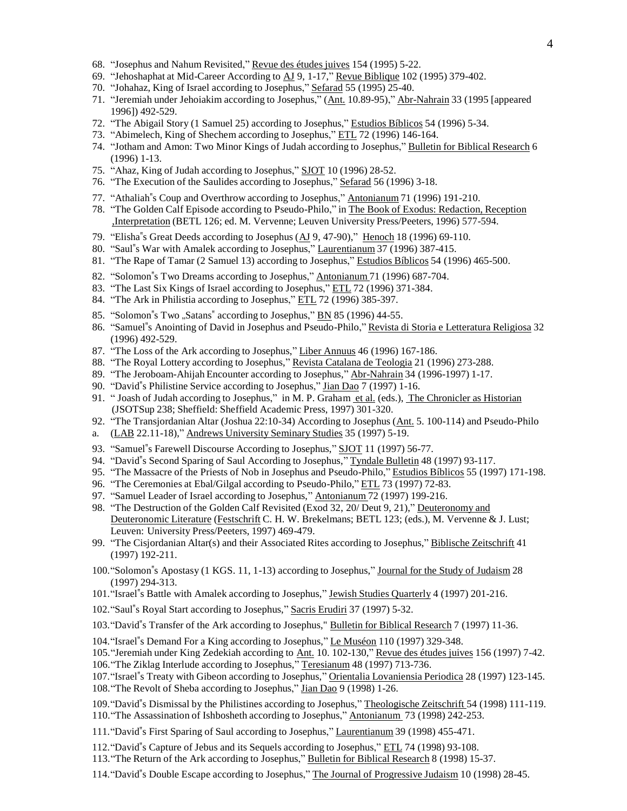- 68. "Josephus and Nahum Revisited," Revue des études juives 154 (1995) 5-22.
- 69. "Jehoshaphat at Mid-Career According to AJ 9, 1-17," Revue Biblique 102 (1995) 379-402.
- 70. "Johahaz, King of Israel according to Josephus," Sefarad 55 (1995) 25-40.
- 71. "Jeremiah under Jehoiakim according to Josephus," (Ant. 10.89-95)," Abr-Nahrain 33 (1995 [appeared 1996]) 492-529.
- 72. "The Abigail Story (1 Samuel 25) according to Josephus," Estudios Bíblicos 54 (1996) 5-34.
- 73. "Abimelech, King of Shechem according to Josephus," ETL 72 (1996) 146-164.
- 74. "Jotham and Amon: Two Minor Kings of Judah according to Josephus," Bulletin for Biblical Research 6 (1996) 1-13.
- 75. "Ahaz, King of Judah according to Josephus," SJOT 10 (1996) 28-52.
- 76. "The Execution of the Saulides according to Josephus," Sefarad 56 (1996) 3-18.
- 77. "Athaliah"s Coup and Overthrow according to Josephus," Antonianum 71 (1996) 191-210.
- 78. "The Golden Calf Episode according to Pseudo-Philo," in The Book of Exodus: Redaction, Reception ,Interpretation (BETL 126; ed. M. Vervenne; Leuven University Press/Peeters, 1996) 577-594.
- 79. "Elisha"s Great Deeds according to Josephus  $(\underline{AJ} 9, 47-90)$ ," Henoch 18 (1996) 69-110.
- 80. "Saul"s War with Amalek according to Josephus," Laurentianum 37 (1996) 387-415.
- 81. "The Rape of Tamar (2 Samuel 13) according to Josephus," Estudios Bíblicos 54 (1996) 465-500.
- 82. "Solomon"s Two Dreams according to Josephus," Antonianum 71 (1996) 687-704.
- 83. "The Last Six Kings of Israel according to Josephus," ETL 72 (1996) 371-384.
- 84. "The Ark in Philistia according to Josephus," ETL 72 (1996) 385-397.
- 85. "Solomon"s Two "Satans" according to Josephus," BN 85 (1996) 44-55.
- 86. "Samuel"s Anointing of David in Josephus and Pseudo-Philo," Revista di Storia e Letteratura Religiosa 32 (1996) 492-529.
- 87. "The Loss of the Ark according to Josephus," Liber Annuus 46 (1996) 167-186.
- 88. "The Royal Lottery according to Josephus," Revista Catalana de Teologia 21 (1996) 273-288.
- 89. "The Jeroboam-Ahijah Encounter according to Josephus," Abr-Nahrain 34 (1996-1997) 1-17.
- 90. "David"s Philistine Service according to Josephus," Jian Dao 7 (1997) 1-16.
- 91. "Joash of Judah according to Josephus," in M. P. Graham et al. (eds.), The Chronicler as Historian (JSOTSup 238; Sheffield: Sheffield Academic Press, 1997) 301-320.
- 92. "The Transjordanian Altar (Joshua 22:10-34) According to Josephus (Ant. 5. 100-114) and Pseudo-Philo
- a. (LAB 22.11-18)," Andrews University Seminary Studies 35 (1997) 5-19.
- 93. "Samuel"s Farewell Discourse According to Josephus," SJOT 11 (1997) 56-77.
- 94. "David"s Second Sparing of Saul According to Josephus," Tyndale Bulletin 48 (1997) 93-117.
- 95. "The Massacre of the Priests of Nob in Josephus and Pseudo-Philo," Estudios Bíblicos 55 (1997) 171-198.
- 96. "The Ceremonies at Ebal/Gilgal according to Pseudo-Philo," ETL 73 (1997) 72-83.
- 97. "Samuel Leader of Israel according to Josephus," Antonianum 72 (1997) 199-216.
- 98. "The Destruction of the Golden Calf Revisited (Exod 32, 20/ Deut 9, 21)," Deuteronomy and Deuteronomic Literature (Festschrift C. H. W. Brekelmans; BETL 123; (eds.), M. Vervenne & J. Lust; Leuven: University Press/Peeters, 1997) 469-479.
- 99. "The Cisjordanian Altar(s) and their Associated Rites according to Josephus," Biblische Zeitschrift 41 (1997) 192-211.
- 100."Solomon"s Apostasy (1 KGS. 11, 1-13) according to Josephus," Journal for the Study of Judaism 28 (1997) 294-313.
- 101."Israel"s Battle with Amalek according to Josephus," Jewish Studies Quarterly 4 (1997) 201-216.
- 102."Saul"s Royal Start according to Josephus," Sacris Erudiri 37 (1997) 5-32.
- 103."David"s Transfer of the Ark according to Josephus," Bulletin for Biblical Research 7 (1997) 11-36.
- 104."Israel"s Demand For a King according to Josephus," Le Muséon 110 (1997) 329-348.
- 105."Jeremiah under King Zedekiah according to Ant. 10. 102-130," Revue des études juives 156 (1997) 7-42.
- 106."The Ziklag Interlude according to Josephus," Teresianum 48 (1997) 713-736.
- 107."Israel"s Treaty with Gibeon according to Josephus," Orientalia Lovaniensia Periodica 28 (1997) 123-145.
- 108."The Revolt of Sheba according to Josephus," Jian Dao 9 (1998) 1-26.

109."David"s Dismissal by the Philistines according to Josephus," Theologische Zeitschrift 54 (1998) 111-119. 110."The Assassination of Ishbosheth according to Josephus," Antonianum 73 (1998) 242-253.

- 111."David"s First Sparing of Saul according to Josephus," Laurentianum 39 (1998) 455-471.
- 112."David"s Capture of Jebus and its Sequels according to Josephus," ETL 74 (1998) 93-108.
- 113."The Return of the Ark according to Josephus," Bulletin for Biblical Research 8 (1998) 15-37.
- 114."David"s Double Escape according to Josephus," The Journal of Progressive Judaism 10 (1998) 28-45.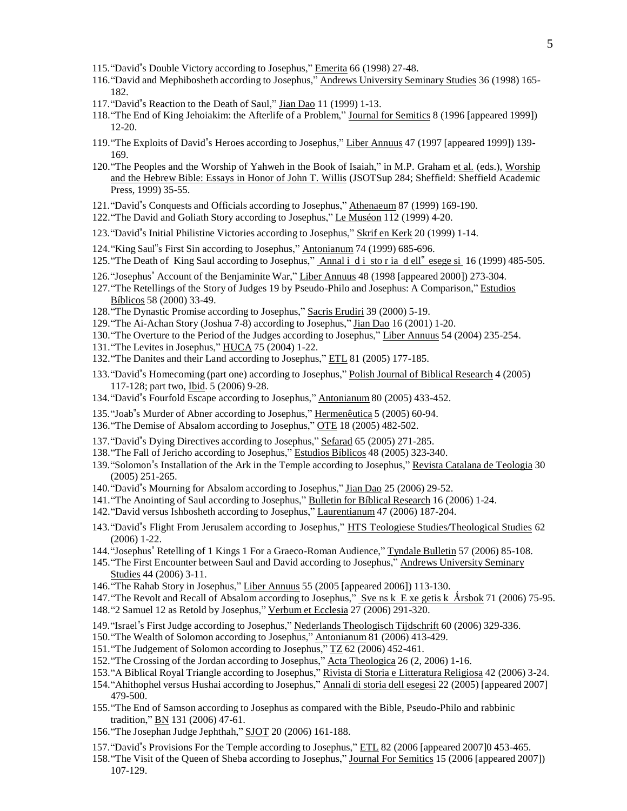- 115."David"s Double Victory according to Josephus," Emerita 66 (1998) 27-48.
- 116."David and Mephibosheth according to Josephus," Andrews University Seminary Studies 36 (1998) 165- 182.
- 117."David"s Reaction to the Death of Saul," Jian Dao 11 (1999) 1-13.
- 118."The End of King Jehoiakim: the Afterlife of a Problem," Journal for Semitics 8 (1996 [appeared 1999]) 12-20.
- 119."The Exploits of David"s Heroes according to Josephus," Liber Annuus 47 (1997 [appeared 1999]) 139- 169.
- 120."The Peoples and the Worship of Yahweh in the Book of Isaiah," in M.P. Graham et al. (eds.), Worship and the Hebrew Bible: Essays in Honor of John T. Willis (JSOTSup 284; Sheffield: Sheffield Academic Press, 1999) 35-55.
- 121."David"s Conquests and Officials according to Josephus," Athenaeum 87 (1999) 169-190.
- 122."The David and Goliath Story according to Josephus," Le Muséon 112 (1999) 4-20.
- 123."David"s Initial Philistine Victories according to Josephus," Skrif en Kerk 20 (1999) 1-14.
- 124."King Saul"s First Sin according to Josephus," Antonianum 74 (1999) 685-696.
- 125. "The Death of King Saul according to Josephus," Annal i di sto r ia d ell" esege si 16 (1999) 485-505.
- 126."Josephus" Account of the Benjaminite War," Liber Annuus 48 (1998 [appeared 2000]) 273-304.
- 127."The Retellings of the Story of Judges 19 by Pseudo-Philo and Josephus: A Comparison," Estudios Bíblicos 58 (2000) 33-49.
- 128."The Dynastic Promise according to Josephus," Sacris Erudiri 39 (2000) 5-19.
- 129."The Ai-Achan Story (Joshua 7-8) according to Josephus," Jian Dao 16 (2001) 1-20.
- 130."The Overture to the Period of the Judges according to Josephus," Liber Annuus 54 (2004) 235-254.
- 131. The Levites in Josephus," HUCA 75 (2004) 1-22.
- 132."The Danites and their Land according to Josephus," ETL 81 (2005) 177-185.
- 133."David"s Homecoming (part one) according to Josephus," Polish Journal of Biblical Research 4 (2005) 117-128; part two, Ibid. 5 (2006) 9-28.
- 134."David"s Fourfold Escape according to Josephus," Antonianum 80 (2005) 433-452.
- 135."Joab"s Murder of Abner according to Josephus," Hermenêutica 5 (2005) 60-94.
- 136."The Demise of Absalom according to Josephus," OTE 18 (2005) 482-502.
- 137."David"s Dying Directives according to Josephus," Sefarad 65 (2005) 271-285.
- 138."The Fall of Jericho according to Josephus," Estudios Bíblicos 48 (2005) 323-340.
- 139."Solomon"s Installation of the Ark in the Temple according to Josephus," Revista Catalana de Teologia 30 (2005) 251-265.
- 140."David"s Mourning for Absalom according to Josephus," Jian Dao 25 (2006) 29-52.
- 141."The Anointing of Saul according to Josephus," Bulletin for Bíblical Research 16 (2006) 1-24.
- 142."David versus Ishbosheth according to Josephus," Laurentianum 47 (2006) 187-204.
- 143."David"s Flight From Jerusalem according to Josephus," HTS Teologiese Studies/Theological Studies 62 (2006) 1-22.
- 144."Josephus" Retelling of 1 Kings 1 For a Graeco-Roman Audience," Tyndale Bulletin 57 (2006) 85-108.
- 145."The First Encounter between Saul and David according to Josephus," Andrews University Seminary Studies 44 (2006) 3-11.
- 146."The Rahab Story in Josephus," Liber Annuus 55 (2005 [appeared 2006]) 113-130.
- 147. "The Revolt and Recall of Absalom according to Josephus," Sve ns k E xe getis k Årsbok 71 (2006) 75-95.
- 148."2 Samuel 12 as Retold by Josephus," Verbum et Ecclesia 27 (2006) 291-320.
- 149."Israel"s First Judge according to Josephus," Nederlands Theologisch Tijdschrift 60 (2006) 329-336.
- 150."The Wealth of Solomon according to Josephus," Antonianum 81 (2006) 413-429.
- 151. "The Judgement of Solomon according to Josephus," TZ 62 (2006) 452-461.
- 152."The Crossing of the Jordan according to Josephus," Acta Theologica 26 (2, 2006) 1-16.
- 153."A Biblical Royal Triangle according to Josephus," Rivista di Storia e Litteratura Religiosa 42 (2006) 3-24.
- 154."Ahithophel versus Hushai according to Josephus," Annali di storia dell esegesi 22 (2005) [appeared 2007] 479-500.
- 155."The End of Samson according to Josephus as compared with the Bible, Pseudo-Philo and rabbinic tradition," **BN** 131 (2006) 47-61.
- 156."The Josephan Judge Jephthah," SJOT 20 (2006) 161-188.
- 157."David"s Provisions For the Temple according to Josephus," ETL 82 (2006 [appeared 2007]0 453-465.
- 158."The Visit of the Queen of Sheba according to Josephus," Journal For Semitics 15 (2006 [appeared 2007]) 107-129.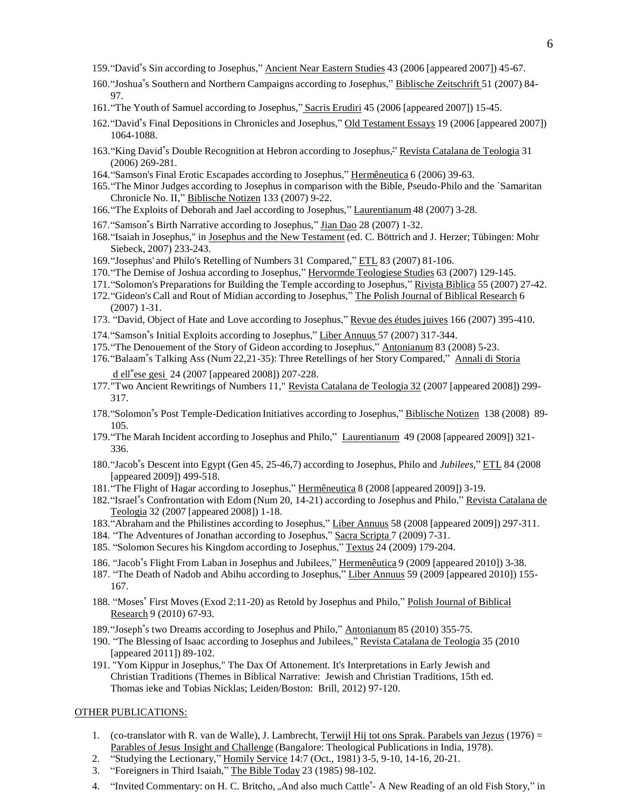- 159."David"s Sin according to Josephus," Ancient Near Eastern Studies 43 (2006 [appeared 2007]) 45-67.
- 160."Joshua"s Southern and Northern Campaigns according to Josephus," Biblische Zeitschrift 51 (2007) 84- 97.
- 161."The Youth of Samuel according to Josephus," Sacris Erudiri 45 (2006 [appeared 2007]) 15-45.
- 162."David"s Final Depositions in Chronicles and Josephus," Old Testament Essays 19 (2006 [appeared 2007]) 1064-1088.
- 163."King David"s Double Recognition at Hebron according to Josephus," Revista Catalana de Teologia 31 (2006) 269-281.
- 164."Samson's Final Erotic Escapades according to Josephus," Hermêneutica 6 (2006) 39-63.
- 165."The Minor Judges according to Josephus in comparison with the Bible, Pseudo-Philo and the `Samaritan Chronicle No. II," Biblische Notizen 133 (2007) 9-22.
- 166."The Exploits of Deborah and Jael according to Josephus," Laurentianum 48 (2007) 3-28.
- 167."Samson"s Birth Narrative according to Josephus," Jian Dao 28 (2007) 1-32.
- 168."Isaiah in Josephus," in Josephus and the New Testament (ed. C. Böttrich and J. Herzer; Tübingen: Mohr Siebeck, 2007) 233-243.
- 169."Josephus' and Philo's Retelling of Numbers 31 Compared," ETL 83 (2007) 81-106.
- 170."The Demise of Joshua according to Josephus," Hervormde Teologiese Studies 63 (2007) 129-145.
- 171."Solomon's Preparations for Building the Temple according to Josephus," Rivista Biblica 55 (2007) 27-42.
- 172."Gideon's Call and Rout of Midian according to Josephus," The Polish Journal of Biblical Research 6 (2007) 1-31.
- 173. "David, Object of Hate and Love according to Josephus," Revue des études juives 166 (2007) 395-410.
- 174."Samson"s Initial Exploits according to Josephus," Liber Annuus 57 (2007) 317-344.
- 175."The Denouement of the Story of Gideon according to Josephus," Antonianum 83 (2008) 5-23.
- 176."Balaam"s Talking Ass (Num 22,21-35): Three Retellings of her Story Compared," Annali di Storia d ell"ese gesi 24 (2007 [appeared 2008]) 207-228.
- 177."Two Ancient Rewritings of Numbers 11," Revista Catalana de Teologia 32 (2007 [appeared 2008]) 299- 317.
- 178."Solomon"s Post Temple-Dedication Initiatives according to Josephus," Biblische Notizen 138 (2008) 89- 105.
- 179."The Marah Incident according to Josephus and Philo," Laurentianum 49 (2008 [appeared 2009]) 321- 336.
- 180."Jacob"s Descent into Egypt (Gen 45, 25-46,7) according to Josephus, Philo and *Jubilees*," ETL 84 (2008 [appeared 2009]) 499-518.
- 181."The Flight of Hagar according to Josephus," Hermêneutica 8 (2008 [appeared 2009]) 3-19.
- 182."Israel"s Confrontation with Edom (Num 20, 14-21) according to Josephus and Philo," Revista Catalana de Teologia 32 (2007 [appeared 2008]) 1-18.
- 183."Abraham and the Philistines according to Josephus," Liber Annuus 58 (2008 [appeared 2009]) 297-311.
- 184. "The Adventures of Jonathan according to Josephus," Sacra Scripta 7 (2009) 7-31.
- 185. "Solomon Secures his Kingdom according to Josephus," Textus 24 (2009) 179-204.
- 186. "Jacob"s Flight From Laban in Josephus and Jubilees," Hermenêutica 9 (2009 [appeared 2010]) 3-38.
- 187. "The Death of Nadob and Abihu according to Josephus," Liber Annuus 59 (2009 [appeared 2010]) 155- 167.
- 188. "Moses" First Moves (Exod 2:11-20) as Retold by Josephus and Philo," Polish Journal of Biblical Research 9 (2010) 67-93.
- 189."Joseph"s two Dreams according to Josephus and Philo," Antonianum 85 (2010) 355-75.
- 190. "The Blessing of Isaac according to Josephus and Jubilees," Revista Catalana de Teologia 35 (2010 [appeared 2011]) 89-102.
- 191. "Yom Kippur in Josephus," The Dax Of Attonement. It's Interpretations in Early Jewish and Christian Traditions (Themes in Biblical Narrative: Jewish and Christian Traditions, 15th ed. Thomas ieke and Tobias Nicklas; Leiden/Boston: Brill, 2012) 97-120.

#### OTHER PUBLICATIONS:

- 1. (co-translator with R. van de Walle), J. Lambrecht, Terwijl Hij tot ons Sprak. Parabels van Jezus (1976) = Parables of Jesus Insight and Challenge (Bangalore: Theological Publications in India, 1978).
- 2. "Studying the Lectionary," Homily Service 14:7 (Oct., 1981) 3-5, 9-10, 14-16, 20-21.
- 3. "Foreigners in Third Isaiah," The Bible Today 23 (1985) 98-102.
- 4. "Invited Commentary: on H. C. Britcho, "And also much Cattle"- A New Reading of an old Fish Story," in